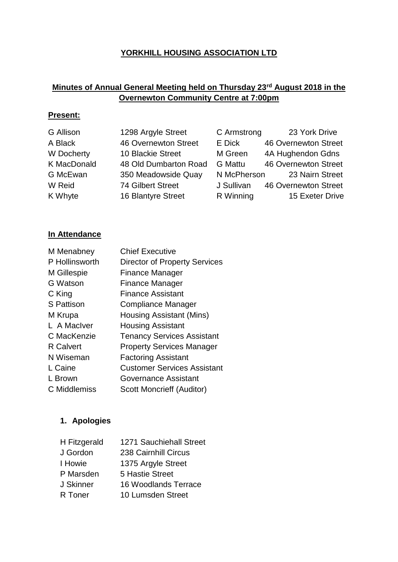## **YORKHILL HOUSING ASSOCIATION LTD**

## **Minutes of Annual General Meeting held on Thursday 23rd August 2018 in the Overnewton Community Centre at 7:00pm**

### **Present:**

| G Allison          | 1298 Argyle Street          | C Armstrong    | 23 York Drive               |
|--------------------|-----------------------------|----------------|-----------------------------|
| A Black            | <b>46 Overnewton Street</b> | E Dick         | <b>46 Overnewton Street</b> |
| W Docherty         | 10 Blackie Street           | M Green        | 4A Hughendon Gdns           |
| <b>K MacDonald</b> | 48 Old Dumbarton Road       | <b>G</b> Mattu | <b>46 Overnewton Street</b> |
| G McEwan           | 350 Meadowside Quay         |                | N McPherson 23 Nairn Street |
| W Reid             | <b>74 Gilbert Street</b>    | J Sullivan     | 46 Overnewton Street        |
| K Whyte            | 16 Blantyre Street          | R Winning      | 15 Exeter Drive             |
|                    |                             |                |                             |

## **In Attendance**

| <b>Chief Executive</b>               |
|--------------------------------------|
| <b>Director of Property Services</b> |
| Finance Manager                      |
| Finance Manager                      |
| <b>Finance Assistant</b>             |
| Compliance Manager                   |
| Housing Assistant (Mins)             |
| <b>Housing Assistant</b>             |
| <b>Tenancy Services Assistant</b>    |
| <b>Property Services Manager</b>     |
| <b>Factoring Assistant</b>           |
| <b>Customer Services Assistant</b>   |
| Governance Assistant                 |
| <b>Scott Moncrieff (Auditor)</b>     |
|                                      |

# **1. Apologies**

| H Fitzgerald | 1271 Sauchiehall Street     |
|--------------|-----------------------------|
| J Gordon     | 238 Cairnhill Circus        |
| I Howie      | 1375 Argyle Street          |
| P Marsden    | 5 Hastie Street             |
| J Skinner    | <b>16 Woodlands Terrace</b> |
| R Toner      | 10 Lumsden Street           |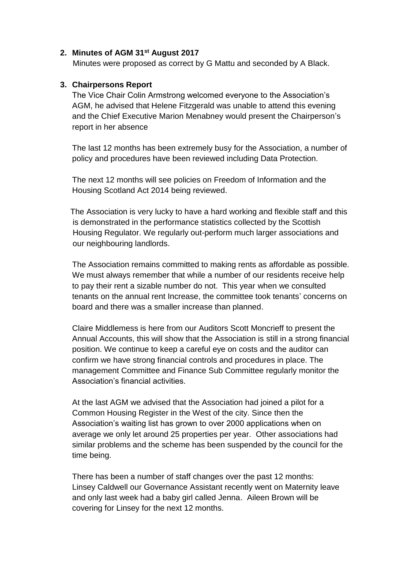#### **2. Minutes of AGM 31st August 2017**

Minutes were proposed as correct by G Mattu and seconded by A Black.

## **3. Chairpersons Report**

The Vice Chair Colin Armstrong welcomed everyone to the Association's AGM, he advised that Helene Fitzgerald was unable to attend this evening and the Chief Executive Marion Menabney would present the Chairperson's report in her absence

The last 12 months has been extremely busy for the Association, a number of policy and procedures have been reviewed including Data Protection.

The next 12 months will see policies on Freedom of Information and the Housing Scotland Act 2014 being reviewed.

 The Association is very lucky to have a hard working and flexible staff and this is demonstrated in the performance statistics collected by the Scottish Housing Regulator. We regularly out-perform much larger associations and our neighbouring landlords.

The Association remains committed to making rents as affordable as possible. We must always remember that while a number of our residents receive help to pay their rent a sizable number do not. This year when we consulted tenants on the annual rent Increase, the committee took tenants' concerns on board and there was a smaller increase than planned.

Claire Middlemess is here from our Auditors Scott Moncrieff to present the Annual Accounts, this will show that the Association is still in a strong financial position. We continue to keep a careful eye on costs and the auditor can confirm we have strong financial controls and procedures in place. The management Committee and Finance Sub Committee regularly monitor the Association's financial activities.

At the last AGM we advised that the Association had joined a pilot for a Common Housing Register in the West of the city. Since then the Association's waiting list has grown to over 2000 applications when on average we only let around 25 properties per year. Other associations had similar problems and the scheme has been suspended by the council for the time being.

There has been a number of staff changes over the past 12 months: Linsey Caldwell our Governance Assistant recently went on Maternity leave and only last week had a baby girl called Jenna. Aileen Brown will be covering for Linsey for the next 12 months.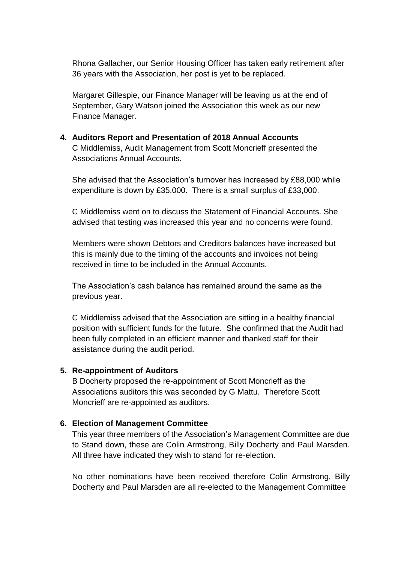Rhona Gallacher, our Senior Housing Officer has taken early retirement after 36 years with the Association, her post is yet to be replaced.

Margaret Gillespie, our Finance Manager will be leaving us at the end of September, Gary Watson joined the Association this week as our new Finance Manager.

## **4. Auditors Report and Presentation of 2018 Annual Accounts**  C Middlemiss, Audit Management from Scott Moncrieff presented the Associations Annual Accounts.

She advised that the Association's turnover has increased by £88,000 while expenditure is down by £35,000. There is a small surplus of £33,000.

C Middlemiss went on to discuss the Statement of Financial Accounts. She advised that testing was increased this year and no concerns were found.

Members were shown Debtors and Creditors balances have increased but this is mainly due to the timing of the accounts and invoices not being received in time to be included in the Annual Accounts.

The Association's cash balance has remained around the same as the previous year.

C Middlemiss advised that the Association are sitting in a healthy financial position with sufficient funds for the future. She confirmed that the Audit had been fully completed in an efficient manner and thanked staff for their assistance during the audit period.

#### **5. Re-appointment of Auditors**

B Docherty proposed the re-appointment of Scott Moncrieff as the Associations auditors this was seconded by G Mattu. Therefore Scott Moncrieff are re-appointed as auditors.

#### **6. Election of Management Committee**

This year three members of the Association's Management Committee are due to Stand down, these are Colin Armstrong, Billy Docherty and Paul Marsden. All three have indicated they wish to stand for re-election.

No other nominations have been received therefore Colin Armstrong, Billy Docherty and Paul Marsden are all re-elected to the Management Committee